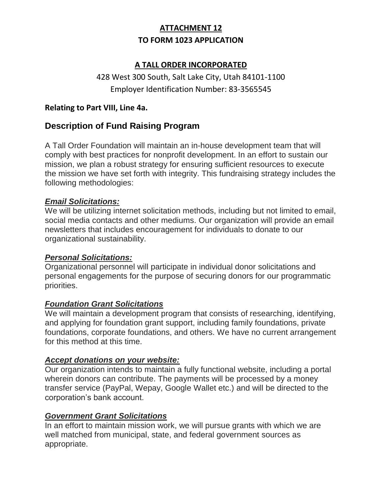# **ATTACHMENT 12 TO FORM 1023 APPLICATION**

## **A TALL ORDER INCORPORATED**

# 428 West 300 South, Salt Lake City, Utah 84101-1100 Employer Identification Number: 83-3565545

### **Relating to Part VIII, Line 4a.**

# **Description of Fund Raising Program**

A Tall Order Foundation will maintain an in-house development team that will comply with best practices for nonprofit development. In an effort to sustain our mission, we plan a robust strategy for ensuring sufficient resources to execute the mission we have set forth with integrity. This fundraising strategy includes the following methodologies:

#### *Email Solicitations:*

We will be utilizing internet solicitation methods, including but not limited to email, social media contacts and other mediums. Our organization will provide an email newsletters that includes encouragement for individuals to donate to our organizational sustainability.

#### *Personal Solicitations:*

Organizational personnel will participate in individual donor solicitations and personal engagements for the purpose of securing donors for our programmatic priorities.

## *Foundation Grant Solicitations*

We will maintain a development program that consists of researching, identifying, and applying for foundation grant support, including family foundations, private foundations, corporate foundations, and others. We have no current arrangement for this method at this time.

#### *Accept donations on your website:*

Our organization intends to maintain a fully functional website, including a portal wherein donors can contribute. The payments will be processed by a money transfer service (PayPal, Wepay, Google Wallet etc.) and will be directed to the corporation's bank account.

## *Government Grant Solicitations*

In an effort to maintain mission work, we will pursue grants with which we are well matched from municipal, state, and federal government sources as appropriate.